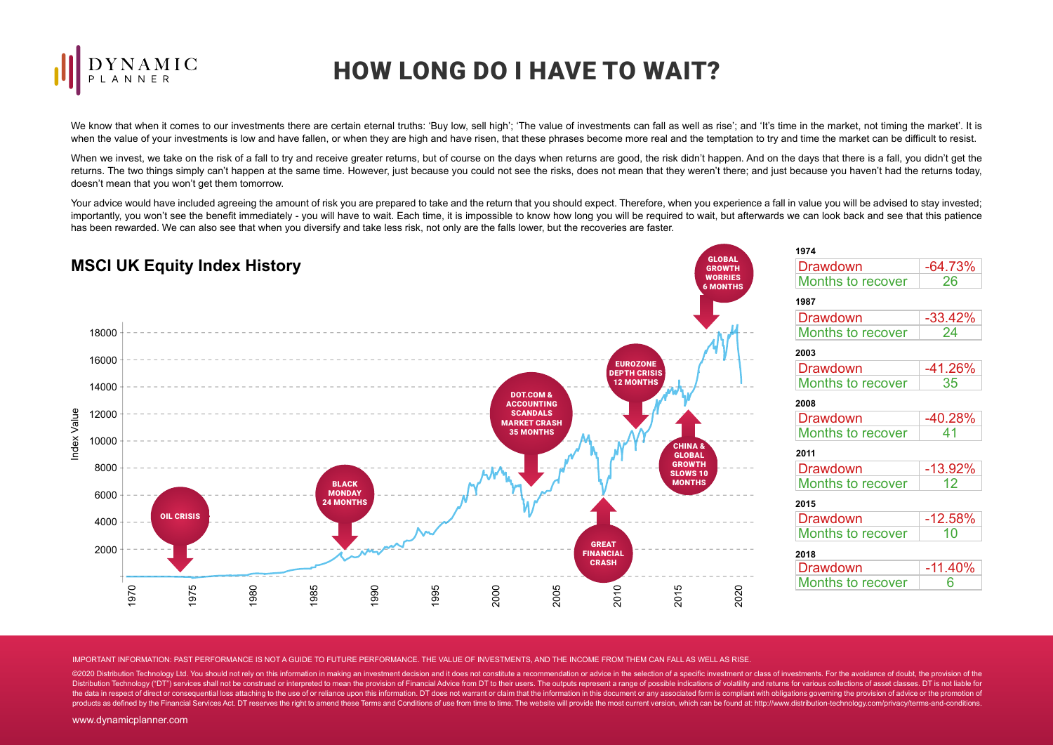

## HOW LONG DO I HAVE TO WAIT?

We know that when it comes to our investments there are certain eternal truths: 'Buy low, sell high': 'The value of investments can fall as well as rise'; and 'It's time in the market, not timing the market'. It is when the value of your investments is low and have fallen, or when they are high and have risen, that these phrases become more real and the temptation to try and time the market can be difficult to resist.

When we invest, we take on the risk of a fall to try and receive greater returns, but of course on the days when returns are good, the risk didn't happen. And on the days that there is a fall, you didn't get the returns. The two things simply can't happen at the same time. However, just because you could not see the risks, does not mean that they weren't there; and just because you haven't had the returns today, doesn't mean that you won't get them tomorrow.

Your advice would have included agreeing the amount of risk you are prepared to take and the return that you should expect. Therefore, when you experience a fall in value you will be advised to stay invested; importantly, you won't see the benefit immediately - you will have to wait. Each time, it is impossible to know how long you will be required to wait, but afterwards we can look back and see that this patience has been rewarded. We can also see that when you diversify and take less risk, not only are the falls lower, but the recoveries are faster.



IMPORTANT INFORMATION: PAST PERFORMANCE IS NOT A GUIDE TO FUTURE PERFORMANCE. THE VALUE OF INVESTMENTS, AND THE INCOME FROM THEM CAN FALL AS WELL AS RISE.

©2020 Distribution Technology Ltd. You should not rely on this information in making an investment decision and it does not constitute a recommendation or advice in the selection of a specific investment or class of invest Distribution Technology ("DT") services shall not be construed or interpreted to mean the provision of Financial Advice from DT to their users. The outputs represent a range of possible indications of volatility and return the data in respect of direct or consequential loss attaching to the use of or reliance upon this information. DT does not warrant or claim that the information in this document or any associated form is compliant with obl products as defined by the Financial Services Act. DT reserves the right to amend these Terms and Conditions of use from time to time. The website will provide the most current version, which can be found at: http://www.di

www.dynamicplanner.com